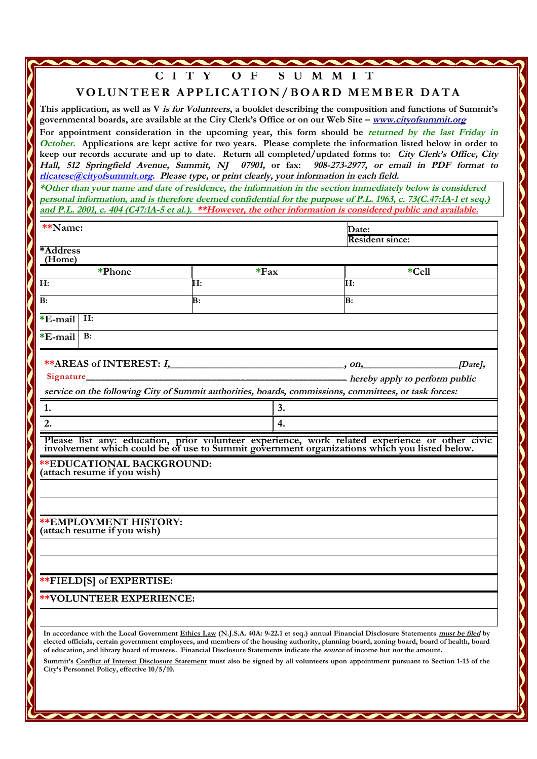**C I T Y O F S U M M I T**

**VOLUNTEER APPLICATION/BOARD MEMBER DATA** 

**This application, as well as V is for Volunteers, a booklet describing the composition and functions of Summit's governmental boards, are available at the City Clerk's Office or on our Web Site – www.cityofsummit.org**

**For appointment consideration in the upcoming year, this form should be returned by the last Friday in October. Applications are kept active for two years. Please complete the information listed below in order to keep our records accurate and up to date. Return all completed/updated forms to: City Clerk's Office, City** Hall, 512 Springfield Avenue, Summit, NJ 07901, or fax: 908-273-2977, or email in PDF format to rlicatese@cityofsummit.org. Please type, or print clearly, your information in each field.

\*Other than your name and date of residence, the information in the section immediately below is considered personal information, and is therefore deemed confidential for the purpose of P.L. 1963, c. 73(C.47:1A-1 et seq.) and P.L. 2001, c. 404 (C47:1A-5 et al.). \*\*However, the other information is considered public and available.

| **Name:            |                                                                                                                                |        |    | Date:                                                                                                                                                                                                                                                                                    |  |
|--------------------|--------------------------------------------------------------------------------------------------------------------------------|--------|----|------------------------------------------------------------------------------------------------------------------------------------------------------------------------------------------------------------------------------------------------------------------------------------------|--|
|                    |                                                                                                                                |        |    | <b>Resident since:</b>                                                                                                                                                                                                                                                                   |  |
| *Address<br>(Home) |                                                                                                                                |        |    |                                                                                                                                                                                                                                                                                          |  |
| *Phone             |                                                                                                                                | $*Fax$ |    | *Cell                                                                                                                                                                                                                                                                                    |  |
| H:                 |                                                                                                                                | H:     |    | H:                                                                                                                                                                                                                                                                                       |  |
| B:                 |                                                                                                                                | B:     |    | $\mathbf{B}$ :                                                                                                                                                                                                                                                                           |  |
| *E-mail            | H:                                                                                                                             |        |    |                                                                                                                                                                                                                                                                                          |  |
| $E$ -mail          | B:                                                                                                                             |        |    |                                                                                                                                                                                                                                                                                          |  |
|                    |                                                                                                                                |        |    |                                                                                                                                                                                                                                                                                          |  |
|                    | **AREAS of INTEREST: $I_1$ , $\ldots$ , $\ldots$ , $\ldots$ , $\ldots$                                                         |        |    | $[Date]$ ,                                                                                                                                                                                                                                                                               |  |
| <b>Signature</b>   |                                                                                                                                |        |    | - hereby apply to perform public                                                                                                                                                                                                                                                         |  |
|                    |                                                                                                                                |        |    | service on the following City of Summit authorities, boards, commissions, committees, or task forces:                                                                                                                                                                                    |  |
| 1.                 |                                                                                                                                |        | 3. |                                                                                                                                                                                                                                                                                          |  |
| 2.                 |                                                                                                                                |        | 4. |                                                                                                                                                                                                                                                                                          |  |
|                    | <b>**EDUCATIONAL BACKGROUND:</b><br>(attach resume if you wish)                                                                |        |    | Please list any: education, prior volunteer experience, work related experience or other civic<br>involvement which could be of use to Summit government organizations which you listed below.                                                                                           |  |
|                    |                                                                                                                                |        |    |                                                                                                                                                                                                                                                                                          |  |
|                    |                                                                                                                                |        |    |                                                                                                                                                                                                                                                                                          |  |
|                    | <b>**EMPLOYMENT HISTORY:</b><br>(attach resume if you wish)                                                                    |        |    |                                                                                                                                                                                                                                                                                          |  |
|                    |                                                                                                                                |        |    |                                                                                                                                                                                                                                                                                          |  |
|                    |                                                                                                                                |        |    |                                                                                                                                                                                                                                                                                          |  |
|                    | ** FIELD[S] of EXPERTISE:                                                                                                      |        |    |                                                                                                                                                                                                                                                                                          |  |
|                    | <b>**VOLUNTEER EXPERIENCE:</b>                                                                                                 |        |    |                                                                                                                                                                                                                                                                                          |  |
|                    |                                                                                                                                |        |    |                                                                                                                                                                                                                                                                                          |  |
|                    | of education, and library board of trustees. Financial Disclosure Statements indicate the source of income but not the amount. |        |    | In accordance with the Local Government Ethics Law (N.J.S.A. 40A: 9-22.1 et seq.) annual Financial Disclosure Statements must be filed by<br>elected officials, certain government employees, and members of the housing authority, planning board, zoning board, board of health, board |  |
|                    | City's Personnel Policy, effective 10/5/10.                                                                                    |        |    | Summit's Conflict of Interest Disclosure Statement must also be signed by all volunteers upon appointment pursuant to Section 1-13 of the                                                                                                                                                |  |